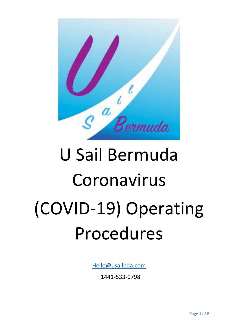

# U Sail Bermuda Coronavirus (COVID-19) Operating Procedures

[Hello@usailbda.com](mailto:Hello@usailbda.com)

+1441-533-0798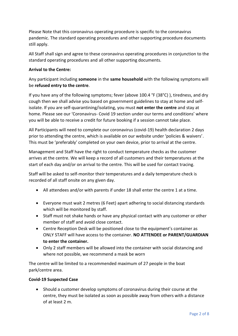Please Note that this coronavirus operating procedure is specific to the coronavirus pandemic. The standard operating procedures and other supporting procedure documents still apply.

All Staff shall sign and agree to these coronavirus operating procedures in conjunction to the standard operating procedures and all other supporting documents.

# **Arrival to the Centre:**

Any participant including **someone** in the **same household** with the following symptoms will be **refused entry to the centre**.

If you have any of the following symptoms; fever (above 100.4 °F (38°C) ), tiredness, and dry cough then we shall advise you based on government guidelines to stay at home and selfisolate. If you are self-quarantining/isolating, you must **not enter the centre** and stay at home. Please see our 'Coronavirus- Covid 19 section under our terms and conditions' where you will be able to receive a credit for future booking if a session cannot take place.

All Participants will need to complete our coronavirus (covid-19) health declaration 2 days prior to attending the centre, which is available on our website under 'policies & waivers'. This must be 'preferably' completed on your own device, prior to arrival at the centre.

Management and Staff have the right to conduct temperature checks as the customer arrives at the centre. We will keep a record of all customers and their temperatures at the start of each day and/or on arrival to the centre. This will be used for contact tracing.

Staff will be asked to self-monitor their temperatures and a daily temperature check is recorded of all staff onsite on any given day.

- All attendees and/or with parents if under 18 shall enter the centre 1 at a time.
- Everyone must wait 2 metres (6 Feet) apart adhering to social distancing standards which will be monitored by staff.
- Staff must not shake hands or have any physical contact with any customer or other member of staff and avoid close contact.
- Centre Reception Desk will be positioned close to the equipment's container as ONLY STAFF will have access to the container. **NO ATTENDEE or PARENT/GUARDIAN to enter the container.**
- Only 2 staff members will be allowed into the container with social distancing and where not possible, we recommend a mask be worn

The centre will be limited to a recommended maximum of 27 people in the boat park/centre area.

### **Covid-19 Suspected Case**

• Should a customer develop symptoms of coronavirus during their course at the centre, they must be isolated as soon as possible away from others with a distance of at least 2 m.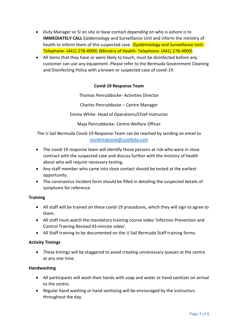- Duty Manager or SI on site or base contact depending on who is ashore is to **IMMEDIATELY CALL** Epidemiology and Surveillance Unit and inform the ministry of health to inform them of this suspected case. (Epidemiology and Surveillance Unit-Telephone- (441) 278-4900) (Ministry of Health- Telephone- (441) 278-4900)
- All items that they have or were likely to touch, must be disinfected before any customer can use any equipment. Please refer to the Bermuda Government Cleaning and Disinfecting Policy with a known or suspected case of covid-19.

# **Covid-19 Response Team**

Thomas Penruddocke- Activities Director

Charles Penruddocke – Centre Manager

Emma White- Head of Operations/Chief Instructor

Maja Penruddocke- Centre Welfare Officer

The U Sail Bermuda Covid-19 Response Team can be reached by sending an email to [covidresponse@usailbda.com](mailto:covidresponse@usailbda.com)

- The covid-19 response team will identify those persons at risk who were in close contract with the suspected case and discuss further with the ministry of health about who will require necessary testing.
- Any staff member who came into close contact should be tested at the earliest opportunity.
- The coronavirus incident form should be filled in detailing the suspected details of symptoms for reference

### **Training**

- All staff will be trained on these covid-19 procedures, which they will sign to agree to them.
- All staff must watch the mandatory training course video 'Infection Prevention and Control Training Revised 43-minute video'.
- All Staff training to be documented on the U Sail Bermuda Staff training forms.

### **Activity Timings**

• These timings will be staggered to avoid creating unnecessary queues at the centre at any one time.

### **Handwashing**

- All participants will wash their hands with soap and water or hand sanitizer on arrival to the centre.
- Regular hand washing or hand sanitizing will be encouraged by the instructors throughout the day.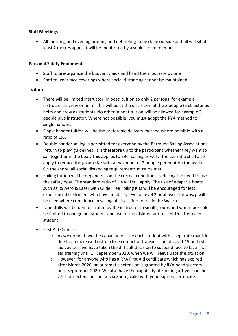# **Staff Meetings**

• All morning and evening briefing and debriefing to be done outside and all will sit at least 2 metres apart. It will be monitored by a senior team member.

### **Personal Safety Equipment**

- Staff to pre-organize the buoyancy aids and hand them out one by one
- Staff to wear face coverings where social distancing cannot be maintained.

### **Tuition**

- There will be limited Instructor 'in boat' tuition to only 2 persons, for example instructor as crew or helm. This will be at the discretion of the 2 people (instructor as helm and crew as student). No other in boat tuition will be allowed for example 2 people plus instructor. Where not possible, you must adopt the RYA method to single handers.
- Single hander tuition will be the preferable delivery method where possible with a ratio of 1:6.
- Double hander sailing is permitted for everyone by the Bermuda Sailing Associations 'return to play' guidelines. It is therefore up to the participant whether they want to sail together in the boat. This applies to 29er sailing as well. The 1:6 ratio shall also apply to reduce the group size with a maximum of 2 people per boat on the water. On the shore, all social distancing requirements must be met.
- Foiling tuition will be dependent on the correct conditions, reducing the need to use the safety boat. The standard ratio of 1:4 will still apply. The use of adaptive boats such as RS Aero & Laser with Glide Free Foiling Kits will be encouraged for less experienced customers who have an ability level of level 2 or above. The waszp will be used where confidence in sailing ability is fine to foil in the Waszp.
- Land drills will be demonstrated by the instructor in small groups and where possible be limited to one go per student and use of the disinfectant to sanitize after each student.
- First Aid Courses
	- $\circ$  As we do not have the capacity to issue each student with a separate manikin due to an increased risk of close contact of transmission of covid-19 on first aid courses, we have taken the difficult decision to suspend face to face first aid training until  $1<sup>st</sup>$  September 2020, when we will reevaluate the situation.
	- o However, for anyone who has a RYA First Aid certificate which has expired after March 2020, an automatic extension is granted by RYA headquarters until September 2020. We also have the capability of running a 1 year online 2.5-hour extension course via Zoom, valid with your expired certificate.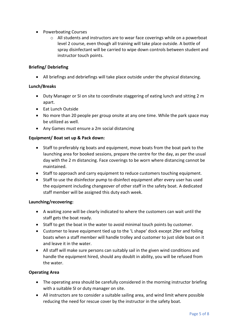- Powerboating Courses
	- $\circ$  All students and instructors are to wear face coverings while on a powerboat level 2 course, even though all training will take place outside. A bottle of spray disinfectant will be carried to wipe down controls between student and instructor touch points.

# **Briefing/ Debriefing**

• All briefings and debriefings will take place outside under the physical distancing.

### **Lunch/Breaks**

- Duty Manager or SI on site to coordinate staggering of eating lunch and sitting 2 m apart.
- Eat Lunch Outside
- No more than 20 people per group onsite at any one time. While the park space may be utilized as well.
- Any Games must ensure a 2m social distancing

### **Equipment/ Boat set up & Pack down:**

- Staff to preferably rig boats and equipment, move boats from the boat park to the launching area for booked sessions, prepare the centre for the day, as per the usual day with the 2 m distancing. Face coverings to be worn where distancing cannot be maintained.
- Staff to approach and carry equipment to reduce customers touching equipment.
- Staff to use the disinfector pump to disinfect equipment after every user has used the equipment including changeover of other staff in the safety boat. A dedicated staff member will be assigned this duty each week.

### **Launching/recovering:**

- A waiting zone will be clearly indicated to where the customers can wait until the staff gets the boat ready.
- Staff to get the boat in the water to avoid minimal touch points by customer.
- Customer to leave equipment tied up to the 'L shape' dock except 29er and foiling boats when a staff member will handle trolley and customer to just slide boat on it and leave it in the water.
- All staff will make sure persons can suitably sail in the given wind conditions and handle the equipment hired, should any doublt in ability, you will be refused from the water.

### **Operating Area**

- The operating area should be carefully considered in the morning instructor briefing with a suitable SI or duty manager on site.
- All instructors are to consider a suitable sailing area, and wind limit where possible reducing the need for rescue cover by the instructor in the safety boat.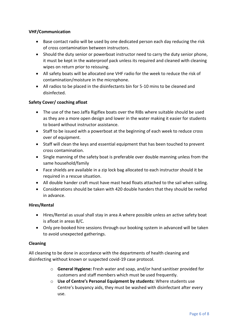# **VHF/Communication**

- Base contact radio will be used by one dedicated person each day reducing the risk of cross contamination between instructors.
- Should the duty senior or powerboat instructor need to carry the duty senior phone, it must be kept in the waterproof pack unless its required and cleaned with cleaning wipes on return prior to reissuing.
- All safety boats will be allocated one VHF radio for the week to reduce the risk of contamination/moisture in the microphone.
- All radios to be placed in the disinfectants bin for 5-10 mins to be cleaned and disinfected.

# **Safety Cover/ coaching afloat**

- The use of the two Jaffa Rigiflex boats over the RIBs where suitable should be used as they are a more open design and lower in the water making it easier for students to board without instructor assistance.
- Staff to be issued with a powerboat at the beginning of each week to reduce cross over of equipment.
- Staff will clean the keys and essential equipment that has been touched to prevent cross contamination.
- Single manning of the safety boat is preferable over double manning unless from the same household/family
- Face shields are available in a zip lock bag allocated to each instructor should it be required in a rescue situation.
- All double hander craft must have mast head floats attached to the sail when sailing.
- Considerations should be taken with 420 double handers that they should be reefed in advance.

### **Hires/Rental**

- Hires/Rental as usual shall stay in area A where possible unless an active safety boat is afloat in areas B/C.
- Only pre-booked hire sessions through our booking system in advanced will be taken to avoid unexpected gatherings.

### **Cleaning**

All cleaning to be done in accordance with the departments of health cleaning and disinfecting without known or suspected covid-19 case protocol.

- o **General Hygiene:** Fresh water and soap, and/or hand sanitiser provided for customers and staff members which must be used frequently.
- o **Use of Centre's Personal Equipment by students:** Where students use Centre's buoyancy aids, they must be washed with disinfectant after every use.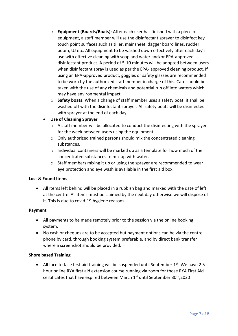- o **Equipment (Boards/Boats)**: After each user has finished with a piece of equipment, a staff member will use the disinfectant sprayer to disinfect key touch point surfaces such as tiller, mainsheet, dagger board lines, rudder, boom, UJ etc. All equipment to be washed down effectively after each day's use with effective cleaning with soap and water and/or EPA-approved disinfectant product. A period of 5-10 minutes will be adopted between users when disinfectant spray is used as per the EPA- approved cleaning product. If using an EPA-approved product, goggles or safety glasses are recommended to be worn by the authorized staff member in charge of this. Care should be taken with the use of any chemicals and potential run off into waters which may have environmental impact.
- o **Safety boats**: When a change of staff member uses a safety boat, it shall be washed off with the disinfectant sprayer. All safety boats will be disinfected with sprayer at the end of each day.
- **Use of Cleaning Sprayer**
	- $\circ$  A staff member will be allocated to conduct the disinfecting with the sprayer for the week between users using the equipment.
	- o Only authorized trained persons should mix the concentrated cleaning substances.
	- o Individual containers will be marked up as a template for how much of the concentrated substances to mix up with water.
	- $\circ$  Staff members mixing it up or using the sprayer are recommended to wear eye protection and eye wash is available in the first aid box.

# **Lost & Found Items**

• All Items left behind will be placed in a rubbish bag and marked with the date of left at the centre. All items must be claimed by the next day otherwise we will dispose of it. This is due to covid-19 hygiene reasons.

# **Payment**

- All payments to be made remotely prior to the session via the online booking system.
- No cash or cheques are to be accepted but payment options can be via the centre phone by card, through booking system preferable, and by direct bank transfer where a screenshot should be provided.

### **Shore based Training**

• All face to face first aid training will be suspended until September  $1^{st}$ . We have 2.5hour online RYA first aid extension course running via zoom for those RYA First Aid certificates that have expired between March 1st until September 30th,2020